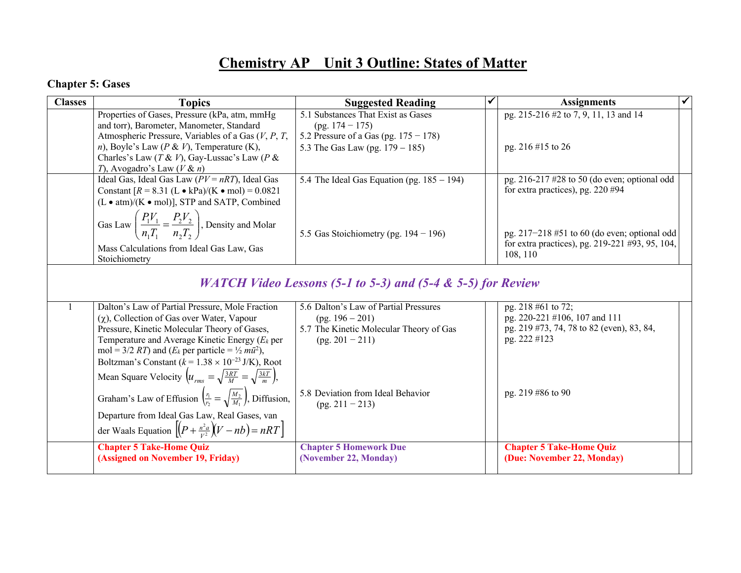## **Chemistry AP Unit 3 Outline: States of Matter**

## **Chapter 5: Gases**

**(Assigned on November 19, Friday)**

| <b>Classes</b>                                                         | <b>Topics</b>                                                                                                  | <b>Suggested Reading</b>                               |  | <b>Assignments</b>                                                                     |  |  |  |
|------------------------------------------------------------------------|----------------------------------------------------------------------------------------------------------------|--------------------------------------------------------|--|----------------------------------------------------------------------------------------|--|--|--|
|                                                                        | Properties of Gases, Pressure (kPa, atm, mmHg                                                                  | 5.1 Substances That Exist as Gases                     |  | pg. 215-216 #2 to 7, 9, 11, 13 and 14                                                  |  |  |  |
|                                                                        | and torr), Barometer, Manometer, Standard                                                                      | $(pg. 174 - 175)$                                      |  |                                                                                        |  |  |  |
|                                                                        | Atmospheric Pressure, Variables of a Gas $(V, P, T, T)$                                                        | 5.2 Pressure of a Gas (pg. $175 - 178$ )               |  |                                                                                        |  |  |  |
|                                                                        | n), Boyle's Law ( $P \& V$ ), Temperature (K),                                                                 | 5.3 The Gas Law (pg. $179 - 185$ )                     |  | pg. 216 #15 to 26                                                                      |  |  |  |
|                                                                        | Charles's Law (T & V), Gay-Lussac's Law (P &                                                                   |                                                        |  |                                                                                        |  |  |  |
|                                                                        | T), Avogadro's Law ( $V \& n$ )                                                                                |                                                        |  |                                                                                        |  |  |  |
|                                                                        | Ideal Gas, Ideal Gas Law $(PV = nRT)$ , Ideal Gas<br>Constant $[R = 8.31 (L \cdot kPa)/(K \cdot mol) = 0.0821$ | 5.4 The Ideal Gas Equation (pg. $185 - 194$ )          |  | pg. $216-217$ #28 to 50 (do even; optional odd<br>for extra practices), pg. $220 \#94$ |  |  |  |
|                                                                        |                                                                                                                |                                                        |  |                                                                                        |  |  |  |
|                                                                        | $(L \cdot atm)/(K \cdot mol)$ ], STP and SATP, Combined                                                        |                                                        |  |                                                                                        |  |  |  |
|                                                                        | Gas Law $\left(\frac{P_1V_1}{n_1T_1} = \frac{P_2V_2}{n_2T_2}\right)$ , Density and Molar                       |                                                        |  |                                                                                        |  |  |  |
|                                                                        |                                                                                                                | 5.5 Gas Stoichiometry (pg. $194 - 196$ )               |  | pg. $217-218$ #51 to 60 (do even; optional odd                                         |  |  |  |
|                                                                        |                                                                                                                |                                                        |  | for extra practices), pg. 219-221 #93, 95, 104,                                        |  |  |  |
|                                                                        | Mass Calculations from Ideal Gas Law, Gas<br>Stoichiometry                                                     |                                                        |  | 108, 110                                                                               |  |  |  |
|                                                                        |                                                                                                                |                                                        |  |                                                                                        |  |  |  |
| <i>WATCH Video Lessons (5-1 to 5-3) and (5-4 &amp; 5-5) for Review</i> |                                                                                                                |                                                        |  |                                                                                        |  |  |  |
|                                                                        | Dalton's Law of Partial Pressure, Mole Fraction                                                                | 5.6 Dalton's Law of Partial Pressures                  |  | pg. 218 #61 to 72;                                                                     |  |  |  |
|                                                                        | $(\gamma)$ , Collection of Gas over Water, Vapour                                                              | $(pg. 196 - 201)$                                      |  | pg. 220-221 #106, 107 and 111                                                          |  |  |  |
|                                                                        | Pressure, Kinetic Molecular Theory of Gases,                                                                   | 5.7 The Kinetic Molecular Theory of Gas                |  | pg. 219 #73, 74, 78 to 82 (even), 83, 84,                                              |  |  |  |
|                                                                        | Temperature and Average Kinetic Energy ( $E_k$ per                                                             | $(pg. 201 - 211)$                                      |  | pg. 222 #123                                                                           |  |  |  |
|                                                                        | mol = 3/2 RT) and ( $E_k$ per particle = $\frac{1}{2} m \bar{u}^2$ ),                                          |                                                        |  |                                                                                        |  |  |  |
|                                                                        | Boltzman's Constant ( $k = 1.38 \times 10^{-23}$ J/K), Root                                                    |                                                        |  |                                                                                        |  |  |  |
|                                                                        | Mean Square Velocity $\left(u_{rms} = \sqrt{\frac{3RT}{M}} = \sqrt{\frac{3kT}{m}}\right)$ ,                    |                                                        |  |                                                                                        |  |  |  |
|                                                                        | Graham's Law of Effusion $\left(\frac{r_1}{r_2} = \sqrt{\frac{M_2}{M_1}}\right)$ , Diffusion,                  | 5.8 Deviation from Ideal Behavior<br>$(pg. 211 - 213)$ |  | pg. 219 #86 to 90                                                                      |  |  |  |
|                                                                        | Departure from Ideal Gas Law, Real Gases, van                                                                  |                                                        |  |                                                                                        |  |  |  |
|                                                                        | der Waals Equation $\left \left(P+\frac{n^2a}{v^2}\right)(V-nb)\right =nRT$                                    |                                                        |  |                                                                                        |  |  |  |
|                                                                        | <b>Chapter 5 Take-Home Quiz</b>                                                                                | <b>Chapter 5 Homework Due</b>                          |  | <b>Chapter 5 Take-Home Quiz</b>                                                        |  |  |  |

**(November 22, Monday)**

**(Due: November 22, Monday)**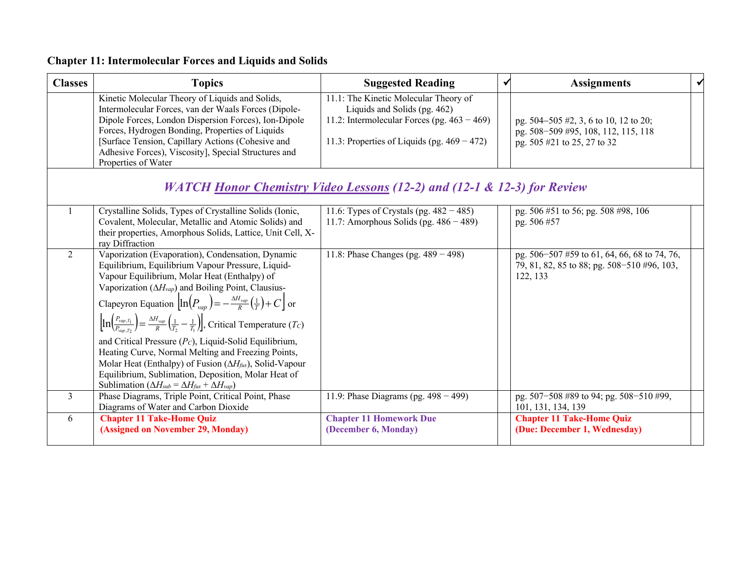| <b>Classes</b>                                                          | <b>Topics</b>                                                                                                                                                                                                                                                                                                                                                                                                                                                                                                                                                                                                                                                                                                                               | <b>Suggested Reading</b>                                                                                                                                                  | ✔ | <b>Assignments</b>                                                                                          | ✔ |  |  |
|-------------------------------------------------------------------------|---------------------------------------------------------------------------------------------------------------------------------------------------------------------------------------------------------------------------------------------------------------------------------------------------------------------------------------------------------------------------------------------------------------------------------------------------------------------------------------------------------------------------------------------------------------------------------------------------------------------------------------------------------------------------------------------------------------------------------------------|---------------------------------------------------------------------------------------------------------------------------------------------------------------------------|---|-------------------------------------------------------------------------------------------------------------|---|--|--|
|                                                                         | Kinetic Molecular Theory of Liquids and Solids,<br>Intermolecular Forces, van der Waals Forces (Dipole-<br>Dipole Forces, London Dispersion Forces), Ion-Dipole<br>Forces, Hydrogen Bonding, Properties of Liquids<br>[Surface Tension, Capillary Actions (Cohesive and<br>Adhesive Forces), Viscosity], Special Structures and<br>Properties of Water                                                                                                                                                                                                                                                                                                                                                                                      | 11.1: The Kinetic Molecular Theory of<br>Liquids and Solids (pg. 462)<br>11.2: Intermolecular Forces (pg. $463 - 469$ )<br>11.3: Properties of Liquids (pg. $469 - 472$ ) |   | pg. 504–505 #2, 3, 6 to 10, 12 to 20;<br>pg. 508-509 #95, 108, 112, 115, 118<br>pg. 505 #21 to 25, 27 to 32 |   |  |  |
| WATCH Honor Chemistry Video Lessons (12-2) and (12-1 & 12-3) for Review |                                                                                                                                                                                                                                                                                                                                                                                                                                                                                                                                                                                                                                                                                                                                             |                                                                                                                                                                           |   |                                                                                                             |   |  |  |
|                                                                         | Crystalline Solids, Types of Crystalline Solids (Ionic,<br>Covalent, Molecular, Metallic and Atomic Solids) and<br>their properties, Amorphous Solids, Lattice, Unit Cell, X-<br>ray Diffraction                                                                                                                                                                                                                                                                                                                                                                                                                                                                                                                                            | 11.6: Types of Crystals (pg. $482 - 485$ )<br>11.7: Amorphous Solids (pg. $486 - 489$ )                                                                                   |   | pg. 506 #51 to 56; pg. 508 #98, 106<br>pg. 506 #57                                                          |   |  |  |
| 2                                                                       | Vaporization (Evaporation), Condensation, Dynamic<br>Equilibrium, Equilibrium Vapour Pressure, Liquid-<br>Vapour Equilibrium, Molar Heat (Enthalpy) of<br>Vaporization $(\Delta H_{vap})$ and Boiling Point, Clausius-<br>Clapeyron Equation $\ln(P_{vap}) = -\frac{\Delta H_{vap}}{R}(\frac{1}{T}) + C$ or<br>$\left[\ln\left(\frac{P_{vap,T_1}}{P_{vap,T_2}}\right)\right] = \frac{\Delta H_{vap}}{R}\left(\frac{1}{T_2}-\frac{1}{T_1}\right),$ Critical Temperature ( <i>Tc</i> )<br>and Critical Pressure $(P_C)$ , Liquid-Solid Equilibrium,<br>Heating Curve, Normal Melting and Freezing Points,<br>Molar Heat (Enthalpy) of Fusion ( $\Delta H_{\text{fus}}$ ), Solid-Vapour<br>Equilibrium, Sublimation, Deposition, Molar Heat of | 11.8: Phase Changes (pg. $489 - 498$ )                                                                                                                                    |   | pg. 506-507 #59 to 61, 64, 66, 68 to 74, 76,<br>79, 81, 82, 85 to 88; pg. 508-510 #96, 103,<br>122, 133     |   |  |  |
| $\overline{3}$                                                          | Sublimation ( $\Delta H_{sub} = \Delta H_{fus} + \Delta H_{vap}$ )<br>Phase Diagrams, Triple Point, Critical Point, Phase                                                                                                                                                                                                                                                                                                                                                                                                                                                                                                                                                                                                                   | 11.9: Phase Diagrams (pg. $498 - 499$ )                                                                                                                                   |   | pg. 507-508 #89 to 94; pg. 508-510 #99,                                                                     |   |  |  |
|                                                                         | Diagrams of Water and Carbon Dioxide                                                                                                                                                                                                                                                                                                                                                                                                                                                                                                                                                                                                                                                                                                        |                                                                                                                                                                           |   | 101, 131, 134, 139                                                                                          |   |  |  |
| 6                                                                       | <b>Chapter 11 Take-Home Quiz</b><br>(Assigned on November 29, Monday)                                                                                                                                                                                                                                                                                                                                                                                                                                                                                                                                                                                                                                                                       | <b>Chapter 11 Homework Due</b><br>(December 6, Monday)                                                                                                                    |   | <b>Chapter 11 Take-Home Quiz</b><br>(Due: December 1, Wednesday)                                            |   |  |  |